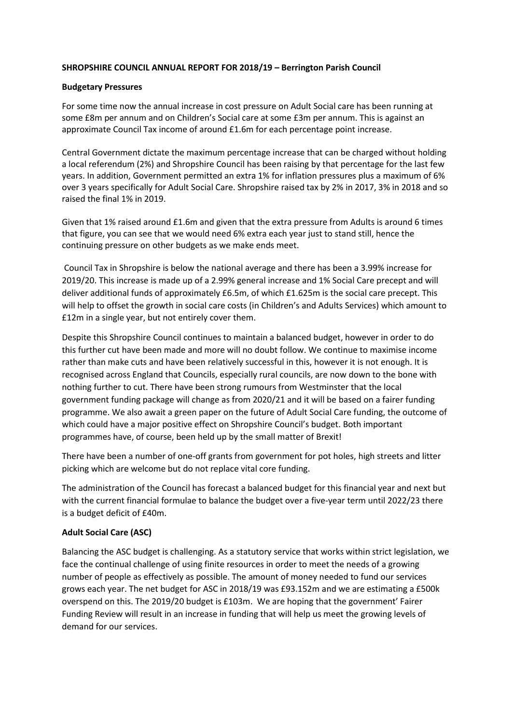### **SHROPSHIRE COUNCIL ANNUAL REPORT FOR 2018/19 – Berrington Parish Council**

#### **Budgetary Pressures**

For some time now the annual increase in cost pressure on Adult Social care has been running at some £8m per annum and on Children's Social care at some £3m per annum. This is against an approximate Council Tax income of around £1.6m for each percentage point increase.

Central Government dictate the maximum percentage increase that can be charged without holding a local referendum (2%) and Shropshire Council has been raising by that percentage for the last few years. In addition, Government permitted an extra 1% for inflation pressures plus a maximum of 6% over 3 years specifically for Adult Social Care. Shropshire raised tax by 2% in 2017, 3% in 2018 and so raised the final 1% in 2019.

Given that 1% raised around £1.6m and given that the extra pressure from Adults is around 6 times that figure, you can see that we would need 6% extra each year just to stand still, hence the continuing pressure on other budgets as we make ends meet.

Council Tax in Shropshire is below the national average and there has been a 3.99% increase for 2019/20. This increase is made up of a 2.99% general increase and 1% Social Care precept and will deliver additional funds of approximately £6.5m, of which £1.625m is the social care precept. This will help to offset the growth in social care costs (in Children's and Adults Services) which amount to £12m in a single year, but not entirely cover them.

Despite this Shropshire Council continues to maintain a balanced budget, however in order to do this further cut have been made and more will no doubt follow. We continue to maximise income rather than make cuts and have been relatively successful in this, however it is not enough. It is recognised across England that Councils, especially rural councils, are now down to the bone with nothing further to cut. There have been strong rumours from Westminster that the local government funding package will change as from 2020/21 and it will be based on a fairer funding programme. We also await a green paper on the future of Adult Social Care funding, the outcome of which could have a major positive effect on Shropshire Council's budget. Both important programmes have, of course, been held up by the small matter of Brexit!

There have been a number of one-off grants from government for pot holes, high streets and litter picking which are welcome but do not replace vital core funding.

The administration of the Council has forecast a balanced budget for this financial year and next but with the current financial formulae to balance the budget over a five-year term until 2022/23 there is a budget deficit of £40m.

#### **Adult Social Care (ASC)**

Balancing the ASC budget is challenging. As a statutory service that works within strict legislation, we face the continual challenge of using finite resources in order to meet the needs of a growing number of people as effectively as possible. The amount of money needed to fund our services grows each year. The net budget for ASC in 2018/19 was £93.152m and we are estimating a £500k overspend on this. The 2019/20 budget is £103m. We are hoping that the government' Fairer Funding Review will result in an increase in funding that will help us meet the growing levels of demand for our services.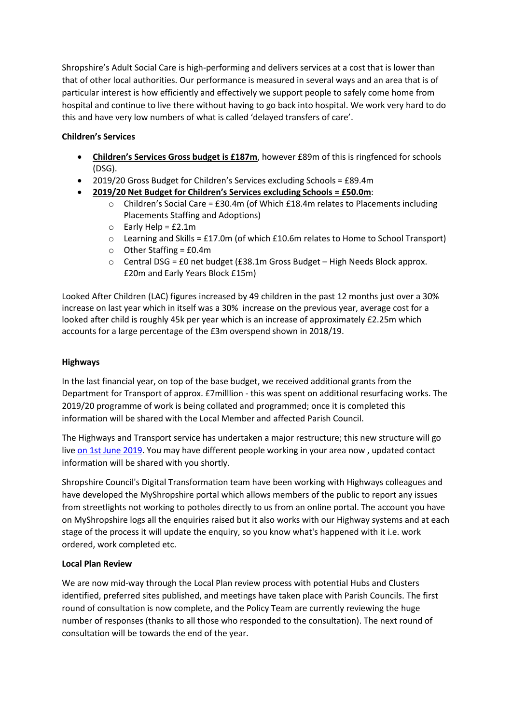Shropshire's Adult Social Care is high-performing and delivers services at a cost that is lower than that of other local authorities. Our performance is measured in several ways and an area that is of particular interest is how efficiently and effectively we support people to safely come home from hospital and continue to live there without having to go back into hospital. We work very hard to do this and have very low numbers of what is called 'delayed transfers of care'.

# **Children's Services**

- **Children's Services Gross budget is £187m**, however £89m of this is ringfenced for schools (DSG).
- 2019/20 Gross Budget for Children's Services excluding Schools = £89.4m
- **2019/20 Net Budget for Children's Services excluding Schools = £50.0m**:
	- $\circ$  Children's Social Care = £30.4m (of Which £18.4m relates to Placements including Placements Staffing and Adoptions)
	- $\circ$  Early Help = £2.1m
	- $\circ$  Learning and Skills = £17.0m (of which £10.6m relates to Home to School Transport)
	- $\circ$  Other Staffing = £0.4m
	- o Central DSG = £0 net budget (£38.1m Gross Budget High Needs Block approx. £20m and Early Years Block £15m)

Looked After Children (LAC) figures increased by 49 children in the past 12 months just over a 30% increase on last year which in itself was a 30% increase on the previous year, average cost for a looked after child is roughly 45k per year which is an increase of approximately £2.25m which accounts for a large percentage of the £3m overspend shown in 2018/19.

### **Highways**

In the last financial year, on top of the base budget, we received additional grants from the Department for Transport of approx. £7milllion - this was spent on additional resurfacing works. The 2019/20 programme of work is being collated and programmed; once it is completed this information will be shared with the Local Member and affected Parish Council.

The Highways and Transport service has undertaken a major restructure; this new structure will go live [on 1st June 2019.](x-apple-data-detectors://0/) You may have different people working in your area now , updated contact information will be shared with you shortly.

Shropshire Council's Digital Transformation team have been working with Highways colleagues and have developed the MyShropshire portal which allows members of the public to report any issues from streetlights not working to potholes directly to us from an online portal. The account you have on MyShropshire logs all the enquiries raised but it also works with our Highway systems and at each stage of the process it will update the enquiry, so you know what's happened with it i.e. work ordered, work completed etc.

# **Local Plan Review**

We are now mid-way through the Local Plan review process with potential Hubs and Clusters identified, preferred sites published, and meetings have taken place with Parish Councils. The first round of consultation is now complete, and the Policy Team are currently reviewing the huge number of responses (thanks to all those who responded to the consultation). The next round of consultation will be towards the end of the year.